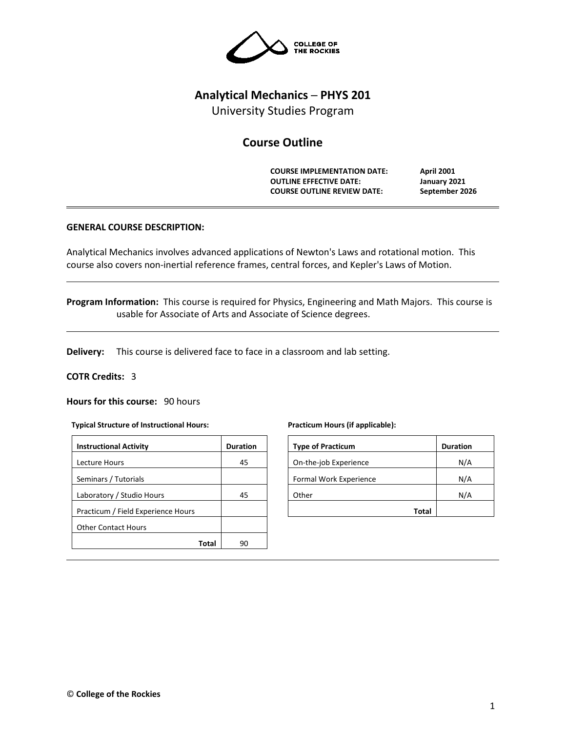

# **Analytical Mechanics ─ PHYS 201**

University Studies Program

# **Course Outline**

**COURSE IMPLEMENTATION DATE: April 2001 OUTLINE EFFECTIVE DATE: January 2021 COURSE OUTLINE REVIEW DATE: September 2026**

# **GENERAL COURSE DESCRIPTION:**

Analytical Mechanics involves advanced applications of Newton's Laws and rotational motion. This course also covers non-inertial reference frames, central forces, and Kepler's Laws of Motion.

**Program Information:** This course is required for Physics, Engineering and Math Majors. This course is usable for Associate of Arts and Associate of Science degrees.

**Delivery:** This course is delivered face to face in a classroom and lab setting.

### **COTR Credits:** 3

**Hours for this course:** 90 hours

#### **Typical Structure of Instructional Hours:**

| <b>Instructional Activity</b>      | <b>Duration</b> |
|------------------------------------|-----------------|
| Lecture Hours                      | 45              |
| Seminars / Tutorials               |                 |
| Laboratory / Studio Hours          | 45              |
| Practicum / Field Experience Hours |                 |
| <b>Other Contact Hours</b>         |                 |
| Total                              | 90              |

#### **Practicum Hours (if applicable):**

| <b>Type of Practicum</b> | <b>Duration</b> |
|--------------------------|-----------------|
|                          |                 |
| On-the-job Experience    | N/A             |
| Formal Work Experience   | N/A             |
| Other                    | N/A             |
| Total                    |                 |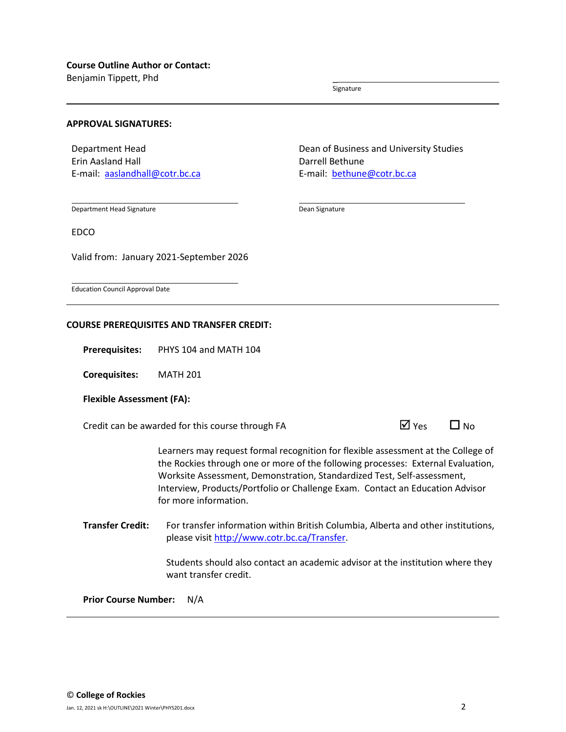Benjamin Tippett, Phd \_

Signature

#### **APPROVAL SIGNATURES:**

Department Head Erin Aasland Hall E-mail: [aaslandhall@cotr.bc.ca](mailto:aaslandhall@cotr.bc.ca) Dean of Business and University Studies Darrell Bethune E-mail: [bethune@cotr.bc.ca](mailto:bethune@cotr.bc.ca)

Department Head Signature

Dean Signature

EDCO

Valid from: January 2021-September 2026

Education Council Approval Date

# **COURSE PREREQUISITES AND TRANSFER CREDIT:**

**Prerequisites:** PHYS 104 and MATH 104

**Corequisites:** MATH 201

#### **Flexible Assessment (FA):**

Credit can be awarded for this course through FA  $\Box$  Yes  $\Box$  No

Learners may request formal recognition for flexible assessment at the College of the Rockies through one or more of the following processes: External Evaluation, Worksite Assessment, Demonstration, Standardized Test, Self-assessment, Interview, Products/Portfolio or Challenge Exam. Contact an Education Advisor for more information.

**Transfer Credit:** For transfer information within British Columbia, Alberta and other institutions, please visit [http://www.cotr.bc.ca/Transfer.](http://www.cotr.bc.ca/Transfer)

> Students should also contact an academic advisor at the institution where they want transfer credit.

**Prior Course Number:** N/A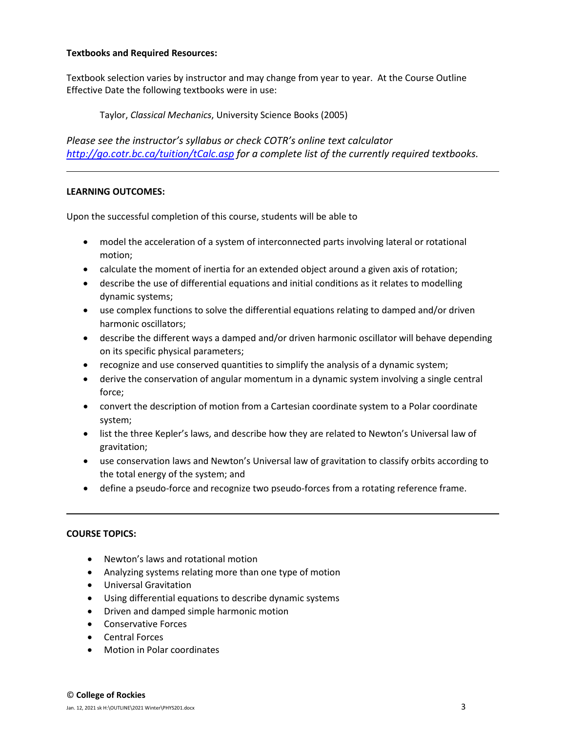# **Textbooks and Required Resources:**

Textbook selection varies by instructor and may change from year to year. At the Course Outline Effective Date the following textbooks were in use:

Taylor, *Classical Mechanics*, University Science Books (2005)

*Please see the instructor's syllabus or check COTR's online text calculator <http://go.cotr.bc.ca/tuition/tCalc.asp> for a complete list of the currently required textbooks.*

# **LEARNING OUTCOMES:**

Upon the successful completion of this course, students will be able to

- model the acceleration of a system of interconnected parts involving lateral or rotational motion;
- calculate the moment of inertia for an extended object around a given axis of rotation;
- describe the use of differential equations and initial conditions as it relates to modelling dynamic systems;
- use complex functions to solve the differential equations relating to damped and/or driven harmonic oscillators;
- describe the different ways a damped and/or driven harmonic oscillator will behave depending on its specific physical parameters;
- recognize and use conserved quantities to simplify the analysis of a dynamic system;
- derive the conservation of angular momentum in a dynamic system involving a single central force;
- convert the description of motion from a Cartesian coordinate system to a Polar coordinate system;
- list the three Kepler's laws, and describe how they are related to Newton's Universal law of gravitation;
- use conservation laws and Newton's Universal law of gravitation to classify orbits according to the total energy of the system; and
- define a pseudo-force and recognize two pseudo-forces from a rotating reference frame.

# **COURSE TOPICS:**

- Newton's laws and rotational motion
- Analyzing systems relating more than one type of motion
- Universal Gravitation
- Using differential equations to describe dynamic systems
- Driven and damped simple harmonic motion
- Conservative Forces
- Central Forces
- Motion in Polar coordinates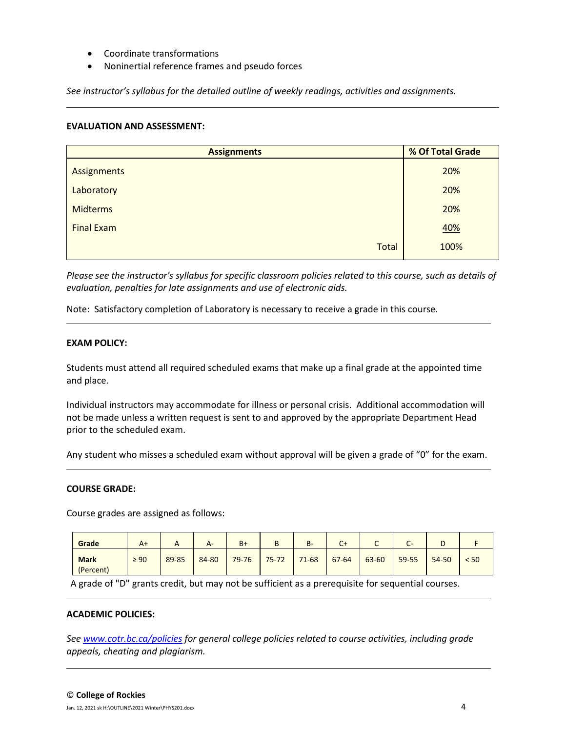- Coordinate transformations
- Noninertial reference frames and pseudo forces

*See instructor's syllabus for the detailed outline of weekly readings, activities and assignments.* 

### **EVALUATION AND ASSESSMENT:**

| <b>Assignments</b> | % Of Total Grade |  |  |
|--------------------|------------------|--|--|
| Assignments        | 20%              |  |  |
| Laboratory         | 20%              |  |  |
| <b>Midterms</b>    | 20%              |  |  |
| <b>Final Exam</b>  | 40%              |  |  |
| <b>Total</b>       | 100%             |  |  |

*Please see the instructor's syllabus for specific classroom policies related to this course, such as details of evaluation, penalties for late assignments and use of electronic aids.*

Note: Satisfactory completion of Laboratory is necessary to receive a grade in this course.

# **EXAM POLICY:**

Students must attend all required scheduled exams that make up a final grade at the appointed time and place.

Individual instructors may accommodate for illness or personal crisis. Additional accommodation will not be made unless a written request is sent to and approved by the appropriate Department Head prior to the scheduled exam.

Any student who misses a scheduled exam without approval will be given a grade of "0" for the exam.

### **COURSE GRADE:**

Course grades are assigned as follows:

| Grade                    | $A+$      | <u>r</u> | $A-$  | $B +$     | B         | $B -$     | $C+$  | ุ     | $\overline{\phantom{0}}$<br>-<br>֊ |           |      |
|--------------------------|-----------|----------|-------|-----------|-----------|-----------|-------|-------|------------------------------------|-----------|------|
| <b>Mark</b><br>(Percent) | $\geq 90$ | 89-85    | 84-80 | $79 - 76$ | $75 - 72$ | $71 - 68$ | 67-64 | 63-60 | 59-55                              | $54 - 50$ | < 50 |

A grade of "D" grants credit, but may not be sufficient as a prerequisite for sequential courses.

#### **ACADEMIC POLICIES:**

*See [www.cotr.bc.ca/policies](http://www.cotr.bc.ca/policies) for general college policies related to course activities, including grade appeals, cheating and plagiarism.*